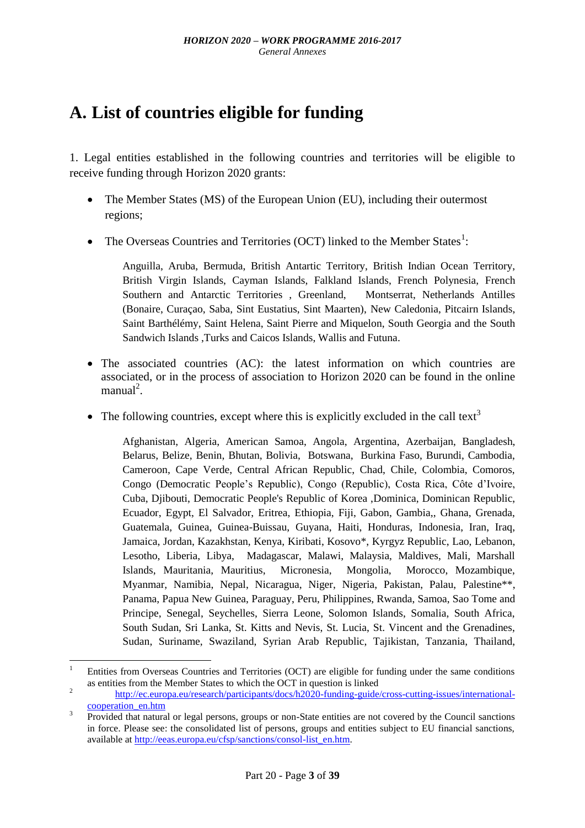## **A. List of countries eligible for funding**

1. Legal entities established in the following countries and territories will be eligible to receive funding through Horizon 2020 grants:

- The Member States (MS) of the European Union (EU), including their outermost regions;
- The Overseas Countries and Territories (OCT) linked to the Member States<sup>1</sup>:

Anguilla, Aruba, Bermuda, British Antartic Territory, British Indian Ocean Territory, British Virgin Islands, Cayman Islands, Falkland Islands, French Polynesia, French Southern and Antarctic Territories , Greenland, Montserrat, Netherlands Antilles (Bonaire, Curaçao, Saba, Sint Eustatius, Sint Maarten), New Caledonia, Pitcairn Islands, Saint Barthélémy, Saint Helena, Saint Pierre and Miquelon, South Georgia and the South Sandwich Islands ,Turks and Caicos Islands, Wallis and Futuna.

- The associated countries (AC): the latest information on which countries are associated, or in the process of association to Horizon 2020 can be found in the online  $manual<sup>2</sup>$ .
- The following countries, except where this is explicitly excluded in the call text<sup>3</sup>

Afghanistan, Algeria, American Samoa, Angola, Argentina, Azerbaijan, Bangladesh, Belarus, Belize, Benin, Bhutan, Bolivia, Botswana, Burkina Faso, Burundi, Cambodia, Cameroon, Cape Verde, Central African Republic, Chad, Chile, Colombia, Comoros, Congo (Democratic People's Republic), Congo (Republic), Costa Rica, Côte d'Ivoire, Cuba, Djibouti, Democratic People's Republic of Korea ,Dominica, Dominican Republic, Ecuador, Egypt, El Salvador, Eritrea, Ethiopia, Fiji, Gabon, Gambia,, Ghana, Grenada, Guatemala, Guinea, Guinea-Buissau, Guyana, Haiti, Honduras, Indonesia, Iran, Iraq, Jamaica, Jordan, Kazakhstan, Kenya, Kiribati, Kosovo\*, Kyrgyz Republic, Lao, Lebanon, Lesotho, Liberia, Libya, Madagascar, Malawi, Malaysia, Maldives, Mali, Marshall Islands, Mauritania, Mauritius, Micronesia, Mongolia, Morocco, Mozambique, Myanmar, Namibia, Nepal, Nicaragua, Niger, Nigeria, Pakistan, Palau, Palestine\*\*, Panama, Papua New Guinea, Paraguay, Peru, Philippines, Rwanda, Samoa, Sao Tome and Principe, Senegal, Seychelles, Sierra Leone, Solomon Islands, Somalia, South Africa, South Sudan, Sri Lanka, St. Kitts and Nevis, St. Lucia, St. Vincent and the Grenadines, Sudan, Suriname, Swaziland, Syrian Arab Republic, Tajikistan, Tanzania, Thailand,

**.** 

<sup>1</sup> Entities from Overseas Countries and Territories (OCT) are eligible for funding under the same conditions as entities from the Member States to which the OCT in question is linked

<sup>2</sup> [http://ec.europa.eu/research/participants/docs/h2020-funding-guide/cross-cutting-issues/international](http://ec.europa.eu/research/participants/docs/h2020-funding-guide/cross-cutting-issues/international-cooperation_en.htm)[cooperation\\_en.htm](http://ec.europa.eu/research/participants/docs/h2020-funding-guide/cross-cutting-issues/international-cooperation_en.htm)

<sup>3</sup> Provided that natural or legal persons, groups or non-State entities are not covered by the Council sanctions in force. Please see: the consolidated list of persons, groups and entities subject to EU financial sanctions, available at [http://eeas.europa.eu/cfsp/sanctions/consol-list\\_en.htm.](http://eeas.europa.eu/cfsp/sanctions/consol-list_en.htm)